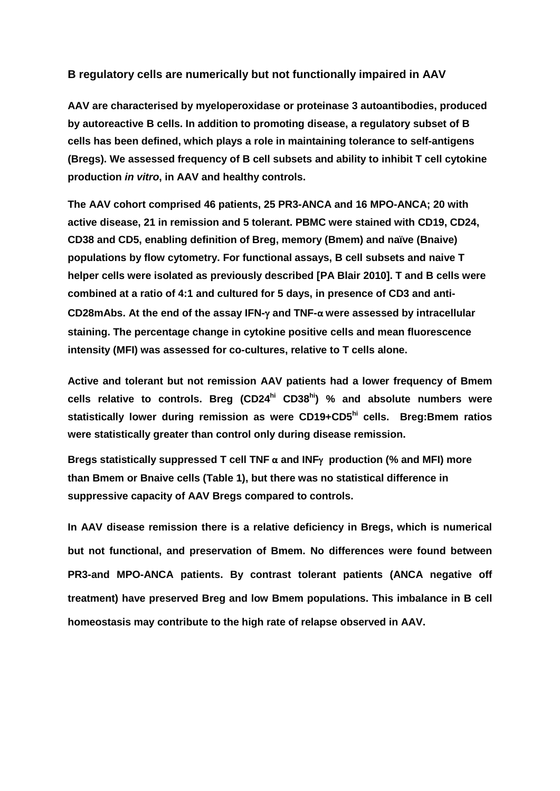## **B regulatory cells are numerically but not functionally impaired in AAV**

**AAV are characterised by myeloperoxidase or proteinase 3 autoantibodies, produced by autoreactive B cells. In addition to promoting disease, a regulatory subset of B cells has been defined, which plays a role in maintaining tolerance to self-antigens (Bregs). We assessed frequency of B cell subsets and ability to inhibit T cell cytokine production** *in vitro***, in AAV and healthy controls.** 

**The AAV cohort comprised 46 patients, 25 PR3-ANCA and 16 MPO-ANCA; 20 with active disease, 21 in remission and 5 tolerant. PBMC were stained with CD19, CD24, CD38 and CD5, enabling definition of Breg, memory (Bmem) and naïve (Bnaive) populations by flow cytometry. For functional assays, B cell subsets and naive T helper cells were isolated as previously described [PA Blair 2010]. T and B cells were combined at a ratio of 4:1 and cultured for 5 days, in presence of CD3 and anti-CD28mAbs. At the end of the assay IFN- and TNF-α were assessed by intracellular staining. The percentage change in cytokine positive cells and mean fluorescence intensity (MFI) was assessed for co-cultures, relative to T cells alone.**

**Active and tolerant but not remission AAV patients had a lower frequency of Bmem cells relative to controls. Breg (CD24hi CD38hi) % and absolute numbers were statistically lower during remission as were CD19+CD5hi cells. Breg:Bmem ratios were statistically greater than control only during disease remission.**

**Bregs statistically suppressed T cell TNF α and INF production (% and MFI) more than Bmem or Bnaive cells (Table 1), but there was no statistical difference in suppressive capacity of AAV Bregs compared to controls.**

**In AAV disease remission there is a relative deficiency in Bregs, which is numerical but not functional, and preservation of Bmem. No differences were found between PR3-and MPO-ANCA patients. By contrast tolerant patients (ANCA negative off treatment) have preserved Breg and low Bmem populations. This imbalance in B cell homeostasis may contribute to the high rate of relapse observed in AAV.**